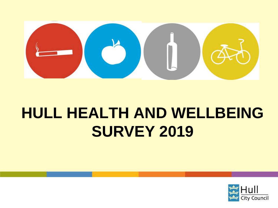

# **HULL HEALTH AND WELLBEING SURVEY 2019**

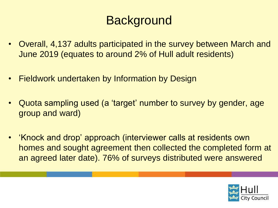### **Background**

- Overall, 4,137 adults participated in the survey between March and June 2019 (equates to around 2% of Hull adult residents)
- Fieldwork undertaken by Information by Design
- Quota sampling used (a 'target' number to survey by gender, age group and ward)
- 'Knock and drop' approach (interviewer calls at residents own homes and sought agreement then collected the completed form at an agreed later date). 76% of surveys distributed were answered

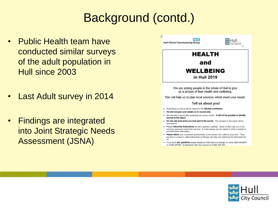### Background (contd.)

- Public Health team have conducted similar surveys of the adult population in Hull since 2003
- Last Adult survey in 2014
- Findings are integrated into Joint Strategic Needs Assessment (JSNA)

| HEALTH                                                                                                                                                                                                                |  |
|-----------------------------------------------------------------------------------------------------------------------------------------------------------------------------------------------------------------------|--|
| and                                                                                                                                                                                                                   |  |
| WELLBEING<br>in Hull 2019                                                                                                                                                                                             |  |
| We are asking people in the whole of Hull to give<br>us a picture of their health and wellbeing.                                                                                                                      |  |
| This will help us to plan local services which meet your needs.                                                                                                                                                       |  |
| Tell us about you!                                                                                                                                                                                                    |  |
| . Everything you tell us will be treated in the strictest confidence.<br>. We will not pass your details on to anyone else.                                                                                           |  |
| . We will write a report after analysing the survey results. It will not be possible to identify<br>anyone in the report.                                                                                             |  |
| . No-one will even know you took part in the survey. The answers in the report will be<br>anonymous.                                                                                                                  |  |
| . Please follow the instructions for each question carefully. Some of them ask you to tick<br>one box, and some more than one box. In a few places you are asked to write a number or<br>provide further information. |  |
| . Please return your completed questionnaire to the person who called at your door. They<br>are from a company called Information by Design and they are collecting the information for<br>us.                        |  |
| . If you have any questions please telephone information by Design on either 0800 6440245                                                                                                                             |  |

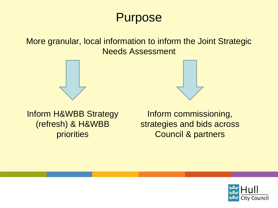### **Purpose**

More granular, local information to inform the Joint Strategic Needs Assessment





Inform H&WBB Strategy (refresh) & H&WBB priorities

Inform commissioning, strategies and bids across Council & partners

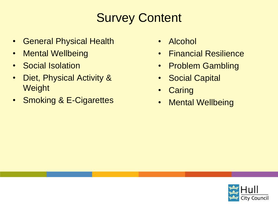# Survey Content

- General Physical Health
- Mental Wellbeing
- Social Isolation
- Diet, Physical Activity & **Weight**
- Smoking & E-Cigarettes
- Alcohol
- Financial Resilience
- Problem Gambling
- Social Capital
- **Caring**
- Mental Wellbeing

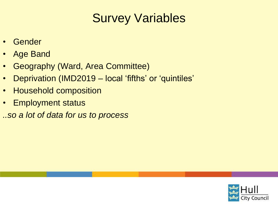### Survey Variables

- **Gender**
- Age Band
- Geography (Ward, Area Committee)
- Deprivation (IMD2019 local 'fifths' or 'quintiles'
- Household composition
- Employment status
- *..so a lot of data for us to process*

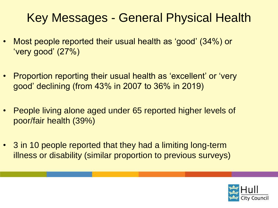### Key Messages - General Physical Health

- Most people reported their usual health as 'good' (34%) or 'very good' (27%)
- Proportion reporting their usual health as 'excellent' or 'very good' declining (from 43% in 2007 to 36% in 2019)
- People living alone aged under 65 reported higher levels of poor/fair health (39%)
- 3 in 10 people reported that they had a limiting long-term illness or disability (similar proportion to previous surveys)

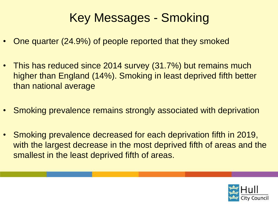### Key Messages - Smoking

- One quarter (24.9%) of people reported that they smoked
- This has reduced since 2014 survey (31.7%) but remains much higher than England (14%). Smoking in least deprived fifth better than national average
- Smoking prevalence remains strongly associated with deprivation
- Smoking prevalence decreased for each deprivation fifth in 2019, with the largest decrease in the most deprived fifth of areas and the smallest in the least deprived fifth of areas.

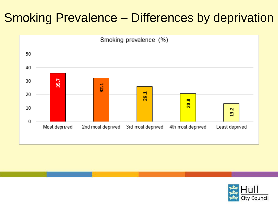### Smoking Prevalence – Differences by deprivation



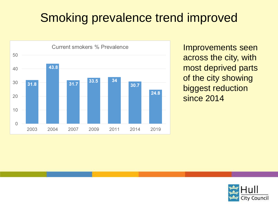### Smoking prevalence trend improved



Improvements seen across the city, with most deprived parts of the city showing biggest reduction since 2014

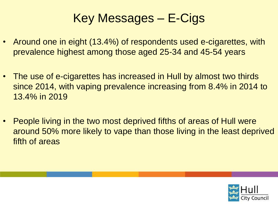### Key Messages – E-Cigs

- Around one in eight (13.4%) of respondents used e-cigarettes, with prevalence highest among those aged 25-34 and 45-54 years
- The use of e-cigarettes has increased in Hull by almost two thirds since 2014, with vaping prevalence increasing from 8.4% in 2014 to 13.4% in 2019
- People living in the two most deprived fifths of areas of Hull were around 50% more likely to vape than those living in the least deprived fifth of areas

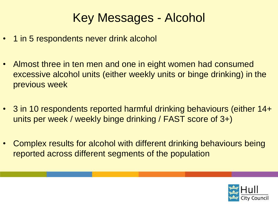### Key Messages - Alcohol

- 1 in 5 respondents never drink alcohol
- Almost three in ten men and one in eight women had consumed excessive alcohol units (either weekly units or binge drinking) in the previous week
- 3 in 10 respondents reported harmful drinking behaviours (either 14+ units per week / weekly binge drinking / FAST score of 3+)
- Complex results for alcohol with different drinking behaviours being reported across different segments of the population

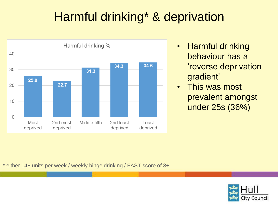# Harmful drinking\* & deprivation



- Harmful drinking behaviour has a 'reverse deprivation gradient'
- This was most prevalent amongst under 25s (36%)

\* either 14+ units per week / weekly binge drinking / FAST score of 3+

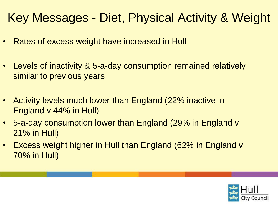### Key Messages - Diet, Physical Activity & Weight

- Rates of excess weight have increased in Hull
- Levels of inactivity & 5-a-day consumption remained relatively similar to previous years
- Activity levels much lower than England (22% inactive in England v 44% in Hull)
- 5-a-day consumption lower than England (29% in England v 21% in Hull)
- Excess weight higher in Hull than England (62% in England v 70% in Hull)

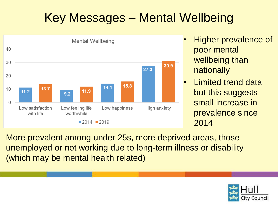# Key Messages – Mental Wellbeing



- Higher prevalence of poor mental wellbeing than nationally
- Limited trend data but this suggests small increase in prevalence since 2014

More prevalent among under 25s, more deprived areas, those unemployed or not working due to long-term illness or disability (which may be mental health related)

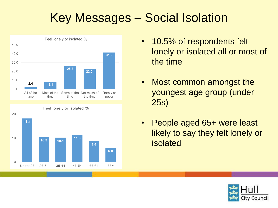# Key Messages – Social Isolation





- 10.5% of respondents felt lonely or isolated all or most of the time
- Most common amongst the youngest age group (under 25s)
- People aged 65+ were least likely to say they felt lonely or isolated

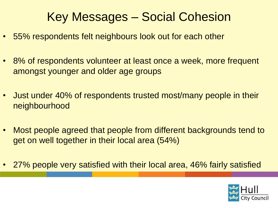### Key Messages – Social Cohesion

- 55% respondents felt neighbours look out for each other
- 8% of respondents volunteer at least once a week, more frequent amongst younger and older age groups
- Just under 40% of respondents trusted most/many people in their neighbourhood
- Most people agreed that people from different backgrounds tend to get on well together in their local area (54%)
- 27% people very satisfied with their local area, 46% fairly satisfied

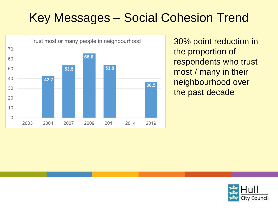# Key Messages – Social Cohesion Trend



30% point reduction in the proportion of respondents who trust most / many in their neighbourhood over the past decade

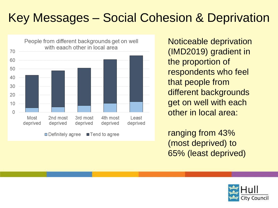# Key Messages – Social Cohesion & Deprivation



Noticeable deprivation (IMD2019) gradient in the proportion of respondents who feel that people from different backgrounds get on well with each other in local area:

ranging from 43% (most deprived) to 65% (least deprived)

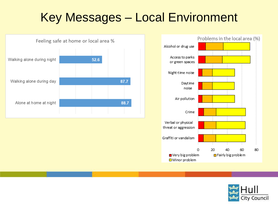### Key Messages – Local Environment





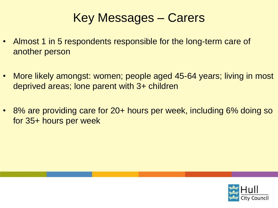### Key Messages – Carers

- Almost 1 in 5 respondents responsible for the long-term care of another person
- More likely amongst: women; people aged 45-64 years; living in most deprived areas; lone parent with 3+ children
- 8% are providing care for 20+ hours per week, including 6% doing so for 35+ hours per week

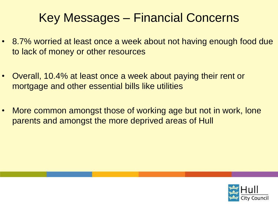### Key Messages – Financial Concerns

- 8.7% worried at least once a week about not having enough food due to lack of money or other resources
- Overall, 10.4% at least once a week about paying their rent or mortgage and other essential bills like utilities
- More common amongst those of working age but not in work, lone parents and amongst the more deprived areas of Hull

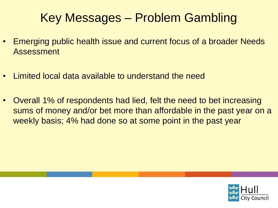### Key Messages – Problem Gambling

- Emerging public health issue and current focus of a broader Needs Assessment
- Limited local data available to understand the need
- Overall 1% of respondents had lied, felt the need to bet increasing sums of money and/or bet more than affordable in the past year on a weekly basis; 4% had done so at some point in the past year

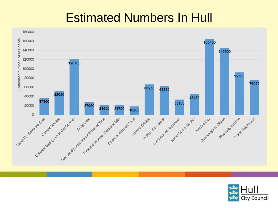### Estimated Numbers In Hull



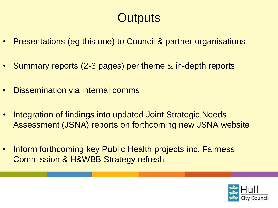### **Outputs**

- Presentations (eg this one) to Council & partner organisations
- Summary reports (2-3 pages) per theme & in-depth reports
- Dissemination via internal comms
- Integration of findings into updated Joint Strategic Needs Assessment (JSNA) reports on forthcoming new JSNA website
- Inform forthcoming key Public Health projects inc. Fairness Commission & H&WBB Strategy refresh